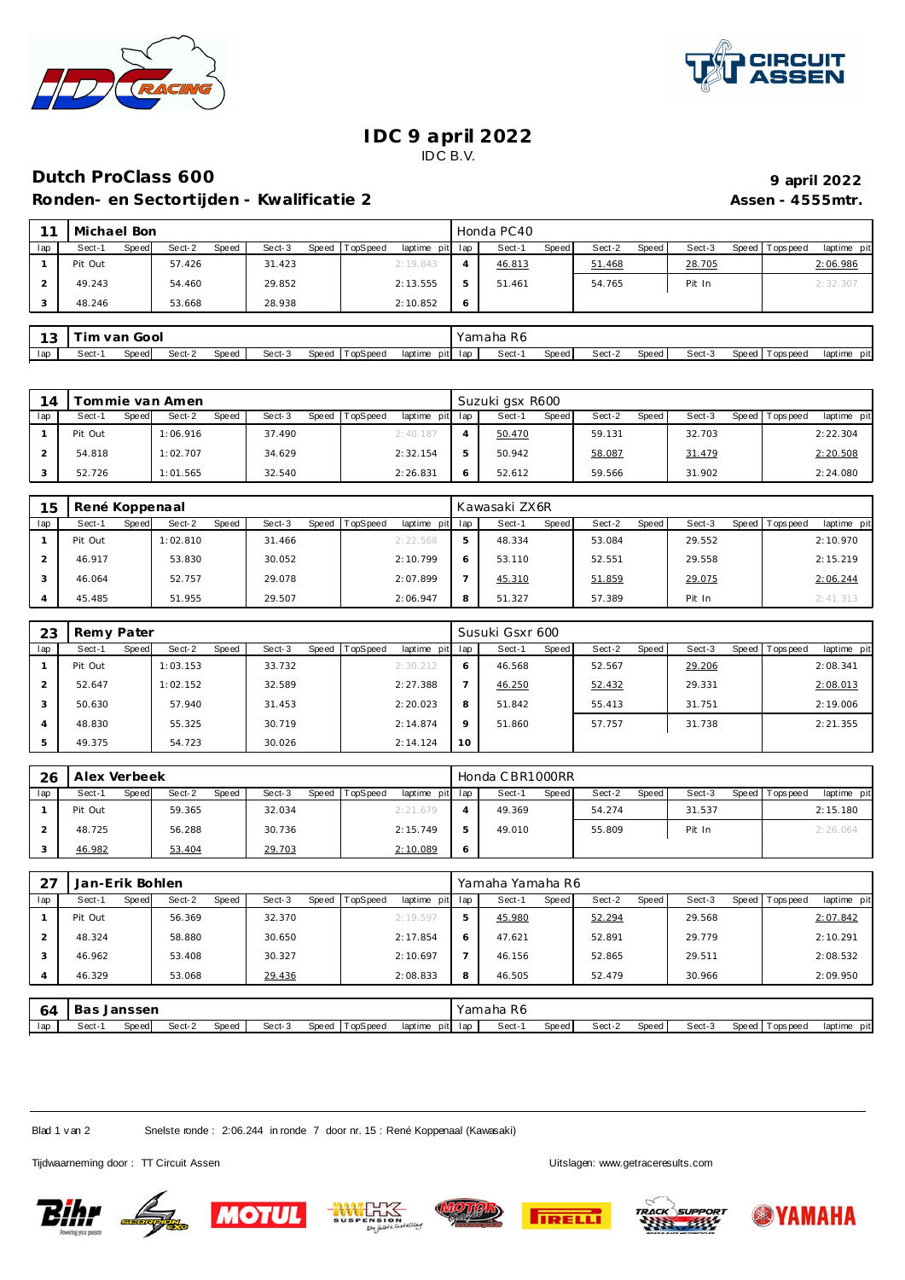



## **IDC 9 april 2022** IDC B.V.

## **Dutch ProClass 600 9 april 2022**

**Ronden- en Sectortijden - Kwalificatie 2 Assen - 4555mtr. Assen - 4555mtr.** 

|     | Michael Bon     |        |       |        |       |                 |                 |    | Honda PC40 |              |        |       |        |                 |             |
|-----|-----------------|--------|-------|--------|-------|-----------------|-----------------|----|------------|--------------|--------|-------|--------|-----------------|-------------|
| lap | Sect-1<br>Speed | Sect-2 | Speed | Sect-3 | Speed | <b>TopSpeed</b> | laptime pit lap |    | Sect-1     | <b>Speed</b> | Sect-2 | Speed | Sect-3 | Speed Tops peed | laptime pit |
|     | Pit Out         | 57.426 |       | 31.423 |       |                 | 2:19.843        |    | 46.813     |              | 51.468 |       | 28.705 |                 | 2:06.986    |
|     | 49.243          | 54.460 |       | 29.852 |       |                 | 2:13.555        | -5 | 51.461     |              | 54.765 |       | Pit In |                 | 2:32.30     |
|     | 48.246          | 53.668 |       | 28.938 |       |                 | 2:10.852        | 6  |            |              |        |       |        |                 |             |
|     |                 |        |       |        |       |                 |                 |    |            |              |        |       |        |                 |             |

| w   |       | Gool<br>van<br>. |        |       |        |                   |                    | -R6<br>'amaha<br>$\sim$ $\sim$ $\sim$ $\sim$ $\sim$ $\sim$ |       |        |       |        |         |            |                |
|-----|-------|------------------|--------|-------|--------|-------------------|--------------------|------------------------------------------------------------|-------|--------|-------|--------|---------|------------|----------------|
| lap | Sect- | Speedl           | Sect-2 | Speed | Sect-3 | TopSpeed<br>Speed | laptime<br>pit lap | Sect-                                                      | Speed | Sect-2 | Speed | Sect-3 | Speed T | Горs рее с | pit<br>laptime |

| 14  |         |       | ommie van Amen |              |        |                |                 | Suzuki gsx R600 |              |        |       |        |                 |             |
|-----|---------|-------|----------------|--------------|--------|----------------|-----------------|-----------------|--------------|--------|-------|--------|-----------------|-------------|
| lap | Sect-1  | Speed | Sect-2         | <b>Speed</b> | Sect-3 | Speed TopSpeed | laptime pit lap | Sect-1          | <b>Speed</b> | Sect-2 | Speed | Sect-3 | Speed Tops peed | laptime pit |
|     | Pit Out |       | 1:06.916       |              | 37.490 |                | 2:40.187        | 50.470          |              | 59.131 |       | 32.703 |                 | 2:22.304    |
|     | 54.818  |       | 1:02.707       |              | 34.629 |                | 2:32.154        | 50.942          |              | 58.087 |       | 31.479 |                 | 2:20.508    |
|     | 52.726  |       | 1:01.565       |              | 32.540 |                | 2:26.831        | 52.612          |              | 59.566 |       | 31.902 |                 | 2:24.080    |

| 15  | René Koppenaal |       |          |       |        |       |                 |             |     | Kawasaki ZX6R |       |        |       |        |       |           |             |
|-----|----------------|-------|----------|-------|--------|-------|-----------------|-------------|-----|---------------|-------|--------|-------|--------|-------|-----------|-------------|
| lap | Sect-1         | Speed | Sect-2   | Speed | Sect-3 | Speed | <b>TopSpeed</b> | laptime pit | lap | Sect-1        | Speed | Sect-2 | Speed | Sect-3 | Speed | Tops peed | laptime pit |
|     | Pit Out        |       | 1:02.810 |       | 31.466 |       |                 | 2:22.568    | 5   | 48.334        |       | 53.084 |       | 29.552 |       |           | 2:10.970    |
|     | 46.917         |       | 53.830   |       | 30.052 |       |                 | 2:10.799    | 6   | 53.110        |       | 52.551 |       | 29.558 |       |           | 2:15.219    |
|     | 46.064         |       | 52.757   |       | 29.078 |       |                 | 2:07.899    |     | 45.310        |       | 51.859 |       | 29.075 |       |           | 2:06.244    |
|     | 45.485         |       | 51.955   |       | 29.507 |       |                 | 2:06.947    | 8   | 51.327        |       | 57.389 |       | Pit In |       |           | 2:41.313    |

| 23  | Remy Pater |       |          |       |        |         |                 |             |         | Susuki Gsxr 600 |       |        |       |        |                 |             |
|-----|------------|-------|----------|-------|--------|---------|-----------------|-------------|---------|-----------------|-------|--------|-------|--------|-----------------|-------------|
| lap | Sect-1     | Speed | Sect-2   | Speed | Sect-3 | Speed T | <b>TopSpeed</b> | laptime pit | lap     | Sect-1          | Speed | Sect-2 | Speed | Sect-3 | Speed Tops peed | laptime pit |
|     | Pit Out    |       | 1:03.153 |       | 33.732 |         |                 | 2:30.212    | 6       | 46.568          |       | 52.567 |       | 29.206 |                 | 2:08.341    |
|     | 52.647     |       | 1:02.152 |       | 32.589 |         |                 | 2:27.388    |         | 46.250          |       | 52.432 |       | 29.331 |                 | 2:08.013    |
|     | 50.630     |       | 57.940   |       | 31.453 |         |                 | 2:20.023    | 8       | 51.842          |       | 55.413 |       | 31.751 |                 | 2:19.006    |
|     | 48.830     |       | 55.325   |       | 30.719 |         |                 | 2:14.874    | $\circ$ | 51.860          |       | 57.757 |       | 31.738 |                 | 2:21.355    |
|     | 49.375     |       | 54.723   |       | 30.026 |         |                 | 2:14.124    | 10      |                 |       |        |       |        |                 |             |

| 26  | Alex Verbeek |       |        |       |        |                |                 |            | Honda CBR1000RR |       |        |       |        |                 |             |
|-----|--------------|-------|--------|-------|--------|----------------|-----------------|------------|-----------------|-------|--------|-------|--------|-----------------|-------------|
| lap | Sect-1       | Speed | Sect-2 | Speed | Sect-3 | Speed TopSpeed | laptime pit lap |            | Sect-1          | Speed | Sect-2 | Speed | Sect-3 | Speed Tops peed | laptime pit |
|     | Pit Out      |       | 59.365 |       | 32.034 |                | 2:21.679        |            | 49.369          |       | 54.274 |       | 31.537 |                 | 2:15.180    |
|     | 48.725       |       | 56.288 |       | 30.736 |                | 2:15.749        |            | 49.010          |       | 55.809 |       | Pit In |                 | 2:26.064    |
|     | 46.982       |       | 53.404 |       | 29.703 |                | 2:10.089        | $\epsilon$ |                 |       |        |       |        |                 |             |

| 27             | Jan-Erik Bohlen |       |        |       |        |       |          |                 |   | Yamaha Yamaha R6 |       |        |       |        |                 |             |
|----------------|-----------------|-------|--------|-------|--------|-------|----------|-----------------|---|------------------|-------|--------|-------|--------|-----------------|-------------|
| lap            | Sect-1          | Speed | Sect-2 | Speed | Sect-3 | Speed | TopSpeed | laptime pit lap |   | Sect-1           | Speed | Sect-2 | Speed | Sect-3 | Speed Tops peed | laptime pit |
|                | Pit Out         |       | 56.369 |       | 32.370 |       |          | 2:19.597        | 5 | 45.980           |       | 52.294 |       | 29.568 |                 | 2:07.842    |
| $\overline{2}$ | 48.324          |       | 58.880 |       | 30.650 |       |          | 2:17.854        | Ô | 47.621           |       | 52.891 |       | 29.779 |                 | 2:10.291    |
| 3              | 46.962          |       | 53.408 |       | 30.327 |       |          | 2:10.697        |   | 46.156           |       | 52.865 |       | 29.511 |                 | 2:08.532    |
| 4              | 46.329          |       | 53.068 |       | 29.436 |       |          | 2:08.833        | 8 | 46.505           |       | 52.479 |       | 30.966 |                 | 2:09.950    |
|                |                 |       |        |       |        |       |          |                 |   |                  |       |        |       |        |                 |             |

| 64  | ва    | ; Janssen |        |              |        |       |          |                    | Yamaha<br>. R6 |              |        |       |        |       |           |                |
|-----|-------|-----------|--------|--------------|--------|-------|----------|--------------------|----------------|--------------|--------|-------|--------|-------|-----------|----------------|
| lap | Sect- | Speed     | Sect-2 | <b>Speed</b> | Sect-3 | Speed | TopSpeed | laptime<br>pit lap | Sect-          | <b>Speed</b> | Sect-2 | Speed | Sect-3 | Speed | Tops peed | pit<br>laptime |

Blad 1 v an 2 Snelste ronde : 2:06.244 in ronde 7 door nr. 15 : René Koppenaal (Kawasaki)

Tijdwaarneming door : TT Circuit Assen enter the state of the state of the Uitslagen:<www.getraceresults.com>